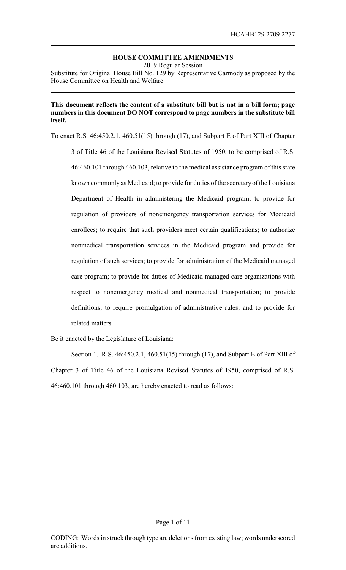# **HOUSE COMMITTEE AMENDMENTS**

2019 Regular Session

Substitute for Original House Bill No. 129 by Representative Carmody as proposed by the House Committee on Health and Welfare

# **This document reflects the content of a substitute bill but is not in a bill form; page numbers in this document DO NOT correspond to page numbers in the substitute bill itself.**

To enact R.S. 46:450.2.1, 460.51(15) through (17), and Subpart E of Part XIII of Chapter

3 of Title 46 of the Louisiana Revised Statutes of 1950, to be comprised of R.S. 46:460.101 through 460.103, relative to the medical assistance program of this state known commonly as Medicaid; to provide for duties of the secretaryof the Louisiana Department of Health in administering the Medicaid program; to provide for regulation of providers of nonemergency transportation services for Medicaid enrollees; to require that such providers meet certain qualifications; to authorize nonmedical transportation services in the Medicaid program and provide for regulation of such services; to provide for administration of the Medicaid managed care program; to provide for duties of Medicaid managed care organizations with respect to nonemergency medical and nonmedical transportation; to provide definitions; to require promulgation of administrative rules; and to provide for related matters.

Be it enacted by the Legislature of Louisiana:

Section 1. R.S. 46:450.2.1, 460.51(15) through (17), and Subpart E of Part XIII of Chapter 3 of Title 46 of the Louisiana Revised Statutes of 1950, comprised of R.S. 46:460.101 through 460.103, are hereby enacted to read as follows: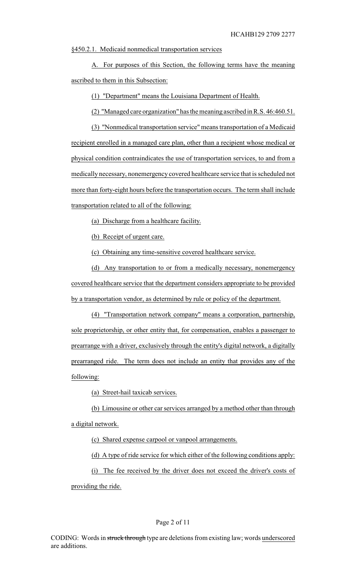§450.2.1. Medicaid nonmedical transportation services

A. For purposes of this Section, the following terms have the meaning ascribed to them in this Subsection:

(1) "Department" means the Louisiana Department of Health.

(2) "Managed care organization" has the meaning ascribed in R.S. 46:460.51.

(3) "Nonmedical transportation service" means transportation of a Medicaid recipient enrolled in a managed care plan, other than a recipient whose medical or physical condition contraindicates the use of transportation services, to and from a medically necessary, nonemergency covered healthcare service that is scheduled not more than forty-eight hours before the transportation occurs. The term shall include transportation related to all of the following:

(a) Discharge from a healthcare facility.

(b) Receipt of urgent care.

(c) Obtaining any time-sensitive covered healthcare service.

(d) Any transportation to or from a medically necessary, nonemergency covered healthcare service that the department considers appropriate to be provided by a transportation vendor, as determined by rule or policy of the department.

(4) "Transportation network company" means a corporation, partnership, sole proprietorship, or other entity that, for compensation, enables a passenger to prearrange with a driver, exclusively through the entity's digital network, a digitally prearranged ride. The term does not include an entity that provides any of the following:

(a) Street-hail taxicab services.

(b) Limousine or other car services arranged by a method other than through a digital network.

(c) Shared expense carpool or vanpool arrangements.

(d) A type of ride service for which either of the following conditions apply:

(i) The fee received by the driver does not exceed the driver's costs of

providing the ride.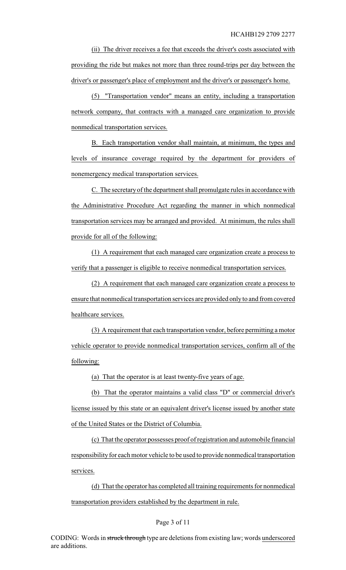(ii) The driver receives a fee that exceeds the driver's costs associated with providing the ride but makes not more than three round-trips per day between the driver's or passenger's place of employment and the driver's or passenger's home.

(5) "Transportation vendor" means an entity, including a transportation network company, that contracts with a managed care organization to provide nonmedical transportation services.

B. Each transportation vendor shall maintain, at minimum, the types and levels of insurance coverage required by the department for providers of nonemergency medical transportation services.

C. The secretaryof the department shall promulgate rules in accordance with the Administrative Procedure Act regarding the manner in which nonmedical transportation services may be arranged and provided. At minimum, the rules shall provide for all of the following:

(1) A requirement that each managed care organization create a process to verify that a passenger is eligible to receive nonmedical transportation services.

(2) A requirement that each managed care organization create a process to ensure that nonmedical transportation services are provided onlyto and from covered healthcare services.

(3) A requirement that each transportation vendor, before permitting a motor vehicle operator to provide nonmedical transportation services, confirm all of the following:

(a) That the operator is at least twenty-five years of age.

(b) That the operator maintains a valid class "D" or commercial driver's license issued by this state or an equivalent driver's license issued by another state of the United States or the District of Columbia.

(c) That the operator possesses proof of registration and automobile financial responsibility for each motor vehicle to be used to provide nonmedical transportation services.

(d) That the operator has completed all training requirements for nonmedical transportation providers established by the department in rule.

#### Page 3 of 11

CODING: Words in struck through type are deletions from existing law; words underscored are additions.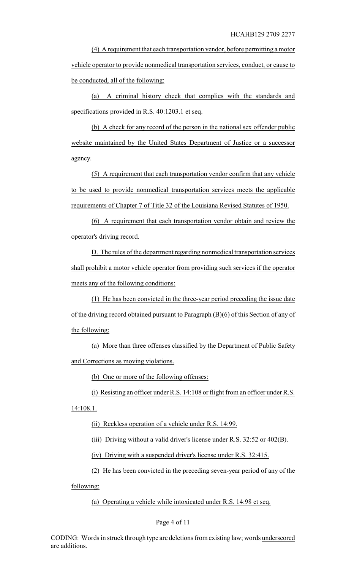(4) A requirement that each transportation vendor, before permitting a motor vehicle operator to provide nonmedical transportation services, conduct, or cause to be conducted, all of the following:

(a) A criminal history check that complies with the standards and specifications provided in R.S. 40:1203.1 et seq.

(b) A check for any record of the person in the national sex offender public website maintained by the United States Department of Justice or a successor agency.

(5) A requirement that each transportation vendor confirm that any vehicle to be used to provide nonmedical transportation services meets the applicable requirements of Chapter 7 of Title 32 of the Louisiana Revised Statutes of 1950.

(6) A requirement that each transportation vendor obtain and review the operator's driving record.

D. The rules of the department regarding nonmedical transportation services shall prohibit a motor vehicle operator from providing such services if the operator meets any of the following conditions:

(1) He has been convicted in the three-year period preceding the issue date of the driving record obtained pursuant to Paragraph (B)(6) of this Section of any of the following:

(a) More than three offenses classified by the Department of Public Safety and Corrections as moving violations.

(b) One or more of the following offenses:

(i) Resisting an officer under R.S. 14:108 or flight from an officer under R.S.

14:108.1.

(ii) Reckless operation of a vehicle under R.S. 14:99.

(iii) Driving without a valid driver's license under R.S. 32:52 or 402(B).

(iv) Driving with a suspended driver's license under R.S. 32:415.

(2) He has been convicted in the preceding seven-year period of any of the

following:

(a) Operating a vehicle while intoxicated under R.S. 14:98 et seq.

#### Page 4 of 11

CODING: Words in struck through type are deletions from existing law; words underscored are additions.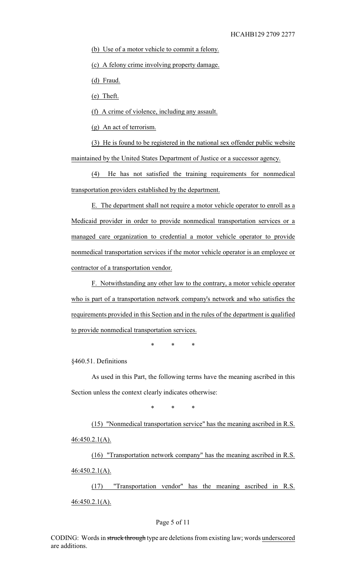(b) Use of a motor vehicle to commit a felony.

(c) A felony crime involving property damage.

(d) Fraud.

(e) Theft.

(f) A crime of violence, including any assault.

(g) An act of terrorism.

(3) He is found to be registered in the national sex offender public website maintained by the United States Department of Justice or a successor agency.

(4) He has not satisfied the training requirements for nonmedical transportation providers established by the department.

E. The department shall not require a motor vehicle operator to enroll as a Medicaid provider in order to provide nonmedical transportation services or a managed care organization to credential a motor vehicle operator to provide nonmedical transportation services if the motor vehicle operator is an employee or contractor of a transportation vendor.

F. Notwithstanding any other law to the contrary, a motor vehicle operator who is part of a transportation network company's network and who satisfies the requirements provided in this Section and in the rules of the department is qualified to provide nonmedical transportation services.

\* \* \*

§460.51. Definitions

As used in this Part, the following terms have the meaning ascribed in this Section unless the context clearly indicates otherwise:

\* \* \*

(15) "Nonmedical transportation service" has the meaning ascribed in R.S. 46:450.2.1(A).

(16) "Transportation network company" has the meaning ascribed in R.S. 46:450.2.1(A).

(17) "Transportation vendor" has the meaning ascribed in R.S. 46:450.2.1(A).

#### Page 5 of 11

CODING: Words in struck through type are deletions from existing law; words underscored are additions.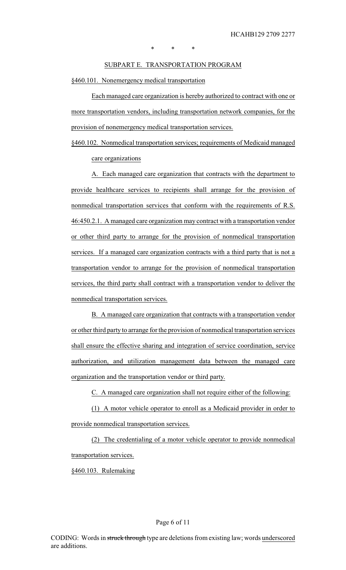\* \* \*

### SUBPART E. TRANSPORTATION PROGRAM

§460.101. Nonemergency medical transportation

Each managed care organization is hereby authorized to contract with one or more transportation vendors, including transportation network companies, for the provision of nonemergency medical transportation services.

§460.102. Nonmedical transportation services; requirements of Medicaid managed care organizations

A. Each managed care organization that contracts with the department to provide healthcare services to recipients shall arrange for the provision of nonmedical transportation services that conform with the requirements of R.S. 46:450.2.1. A managed care organization may contract with a transportation vendor or other third party to arrange for the provision of nonmedical transportation services. If a managed care organization contracts with a third party that is not a transportation vendor to arrange for the provision of nonmedical transportation services, the third party shall contract with a transportation vendor to deliver the nonmedical transportation services.

B. A managed care organization that contracts with a transportation vendor or other third party to arrange for the provision of nonmedical transportation services shall ensure the effective sharing and integration of service coordination, service authorization, and utilization management data between the managed care organization and the transportation vendor or third party.

C. A managed care organization shall not require either of the following:

(1) A motor vehicle operator to enroll as a Medicaid provider in order to provide nonmedical transportation services.

(2) The credentialing of a motor vehicle operator to provide nonmedical transportation services.

§460.103. Rulemaking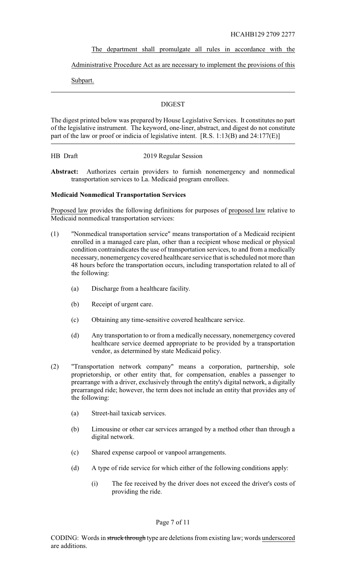### The department shall promulgate all rules in accordance with the

## Administrative Procedure Act as are necessary to implement the provisions of this

Subpart.

## DIGEST

The digest printed below was prepared by House Legislative Services. It constitutes no part of the legislative instrument. The keyword, one-liner, abstract, and digest do not constitute part of the law or proof or indicia of legislative intent. [R.S. 1:13(B) and 24:177(E)]

#### HB Draft 2019 Regular Session

**Abstract:** Authorizes certain providers to furnish nonemergency and nonmedical transportation services to La. Medicaid program enrollees.

### **Medicaid Nonmedical Transportation Services**

Proposed law provides the following definitions for purposes of proposed law relative to Medicaid nonmedical transportation services:

- (1) "Nonmedical transportation service" means transportation of a Medicaid recipient enrolled in a managed care plan, other than a recipient whose medical or physical condition contraindicates the use of transportation services, to and from a medically necessary, nonemergency covered healthcare service that is scheduled not more than 48 hours before the transportation occurs, including transportation related to all of the following:
	- (a) Discharge from a healthcare facility.
	- (b) Receipt of urgent care.
	- (c) Obtaining any time-sensitive covered healthcare service.
	- (d) Any transportation to or from a medically necessary, nonemergency covered healthcare service deemed appropriate to be provided by a transportation vendor, as determined by state Medicaid policy.
- (2) "Transportation network company" means a corporation, partnership, sole proprietorship, or other entity that, for compensation, enables a passenger to prearrange with a driver, exclusively through the entity's digital network, a digitally prearranged ride; however, the term does not include an entity that provides any of the following:
	- (a) Street-hail taxicab services.
	- (b) Limousine or other car services arranged by a method other than through a digital network.
	- (c) Shared expense carpool or vanpool arrangements.
	- (d) A type of ride service for which either of the following conditions apply:
		- (i) The fee received by the driver does not exceed the driver's costs of providing the ride.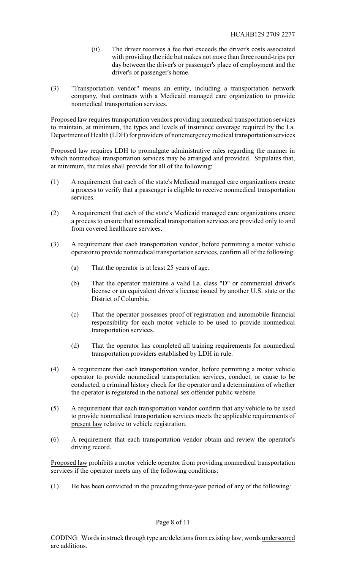- (ii) The driver receives a fee that exceeds the driver's costs associated with providing the ride but makes not more than three round-trips per day between the driver's or passenger's place of employment and the driver's or passenger's home.
- (3) "Transportation vendor" means an entity, including a transportation network company, that contracts with a Medicaid managed care organization to provide nonmedical transportation services.

Proposed law requires transportation vendors providing nonmedical transportation services to maintain, at minimum, the types and levels of insurance coverage required by the La. Department of Health (LDH) for providers of nonemergencymedical transportation services

Proposed law requires LDH to promulgate administrative rules regarding the manner in which nonmedical transportation services may be arranged and provided. Stipulates that, at minimum, the rules shall provide for all of the following:

- (1) A requirement that each of the state's Medicaid managed care organizations create a process to verify that a passenger is eligible to receive nonmedical transportation services.
- (2) A requirement that each of the state's Medicaid managed care organizations create a process to ensure that nonmedical transportation services are provided only to and from covered healthcare services.
- (3) A requirement that each transportation vendor, before permitting a motor vehicle operator to provide nonmedical transportation services, confirm all of the following:
	- (a) That the operator is at least 25 years of age.
	- (b) That the operator maintains a valid La. class "D" or commercial driver's license or an equivalent driver's license issued by another U.S. state or the District of Columbia.
	- (c) That the operator possesses proof of registration and automobile financial responsibility for each motor vehicle to be used to provide nonmedical transportation services.
	- (d) That the operator has completed all training requirements for nonmedical transportation providers established by LDH in rule.
- (4) A requirement that each transportation vendor, before permitting a motor vehicle operator to provide nonmedical transportation services, conduct, or cause to be conducted, a criminal history check for the operator and a determination of whether the operator is registered in the national sex offender public website.
- (5) A requirement that each transportation vendor confirm that any vehicle to be used to provide nonmedical transportation services meets the applicable requirements of present law relative to vehicle registration.
- (6) A requirement that each transportation vendor obtain and review the operator's driving record.

Proposed law prohibits a motor vehicle operator from providing nonmedical transportation services if the operator meets any of the following conditions:

(1) He has been convicted in the preceding three-year period of any of the following: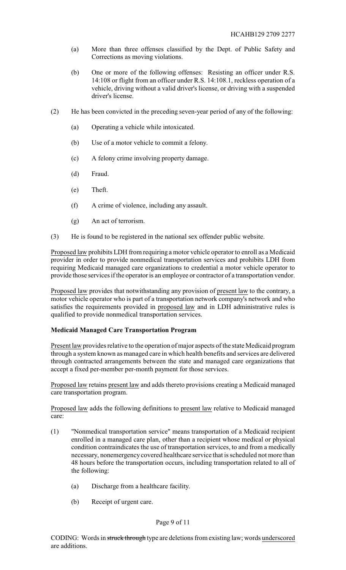- (a) More than three offenses classified by the Dept. of Public Safety and Corrections as moving violations.
- (b) One or more of the following offenses: Resisting an officer under R.S. 14:108 or flight from an officer under R.S. 14:108.1, reckless operation of a vehicle, driving without a valid driver's license, or driving with a suspended driver's license.
- (2) He has been convicted in the preceding seven-year period of any of the following:
	- (a) Operating a vehicle while intoxicated.
	- (b) Use of a motor vehicle to commit a felony.
	- (c) A felony crime involving property damage.
	- (d) Fraud.
	- (e) Theft.
	- (f) A crime of violence, including any assault.
	- (g) An act of terrorism.
- (3) He is found to be registered in the national sex offender public website.

Proposed law prohibits LDH from requiring a motor vehicle operator to enroll as a Medicaid provider in order to provide nonmedical transportation services and prohibits LDH from requiring Medicaid managed care organizations to credential a motor vehicle operator to provide those services if the operator is an employee or contractor of a transportation vendor.

Proposed law provides that notwithstanding any provision of present law to the contrary, a motor vehicle operator who is part of a transportation network company's network and who satisfies the requirements provided in proposed law and in LDH administrative rules is qualified to provide nonmedical transportation services.

# **Medicaid Managed Care Transportation Program**

Present law provides relative to the operation of major aspects of the state Medicaid program through a system known as managed care in which health benefits and services are delivered through contracted arrangements between the state and managed care organizations that accept a fixed per-member per-month payment for those services.

Proposed law retains present law and adds thereto provisions creating a Medicaid managed care transportation program.

Proposed law adds the following definitions to present law relative to Medicaid managed care:

- (1) "Nonmedical transportation service" means transportation of a Medicaid recipient enrolled in a managed care plan, other than a recipient whose medical or physical condition contraindicates the use of transportation services, to and from a medically necessary, nonemergency covered healthcare service that is scheduled not more than 48 hours before the transportation occurs, including transportation related to all of the following:
	- (a) Discharge from a healthcare facility.
	- (b) Receipt of urgent care.

# Page 9 of 11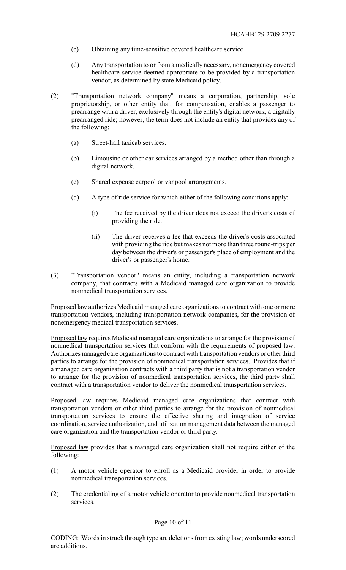- (c) Obtaining any time-sensitive covered healthcare service.
- (d) Any transportation to or from a medically necessary, nonemergency covered healthcare service deemed appropriate to be provided by a transportation vendor, as determined by state Medicaid policy.
- (2) "Transportation network company" means a corporation, partnership, sole proprietorship, or other entity that, for compensation, enables a passenger to prearrange with a driver, exclusively through the entity's digital network, a digitally prearranged ride; however, the term does not include an entity that provides any of the following:
	- (a) Street-hail taxicab services.
	- (b) Limousine or other car services arranged by a method other than through a digital network.
	- (c) Shared expense carpool or vanpool arrangements.
	- (d) A type of ride service for which either of the following conditions apply:
		- (i) The fee received by the driver does not exceed the driver's costs of providing the ride.
		- (ii) The driver receives a fee that exceeds the driver's costs associated with providing the ride but makes not more than three round-trips per day between the driver's or passenger's place of employment and the driver's or passenger's home.
- (3) "Transportation vendor" means an entity, including a transportation network company, that contracts with a Medicaid managed care organization to provide nonmedical transportation services.

Proposed law authorizes Medicaid managed care organizations to contract with one or more transportation vendors, including transportation network companies, for the provision of nonemergency medical transportation services.

Proposed law requires Medicaid managed care organizations to arrange for the provision of nonmedical transportation services that conform with the requirements of proposed law. Authorizes managed care organizations to contract with transportation vendors or other third parties to arrange for the provision of nonmedical transportation services. Provides that if a managed care organization contracts with a third party that is not a transportation vendor to arrange for the provision of nonmedical transportation services, the third party shall contract with a transportation vendor to deliver the nonmedical transportation services.

Proposed law requires Medicaid managed care organizations that contract with transportation vendors or other third parties to arrange for the provision of nonmedical transportation services to ensure the effective sharing and integration of service coordination, service authorization, and utilization management data between the managed care organization and the transportation vendor or third party.

Proposed law provides that a managed care organization shall not require either of the following:

- (1) A motor vehicle operator to enroll as a Medicaid provider in order to provide nonmedical transportation services.
- (2) The credentialing of a motor vehicle operator to provide nonmedical transportation services.